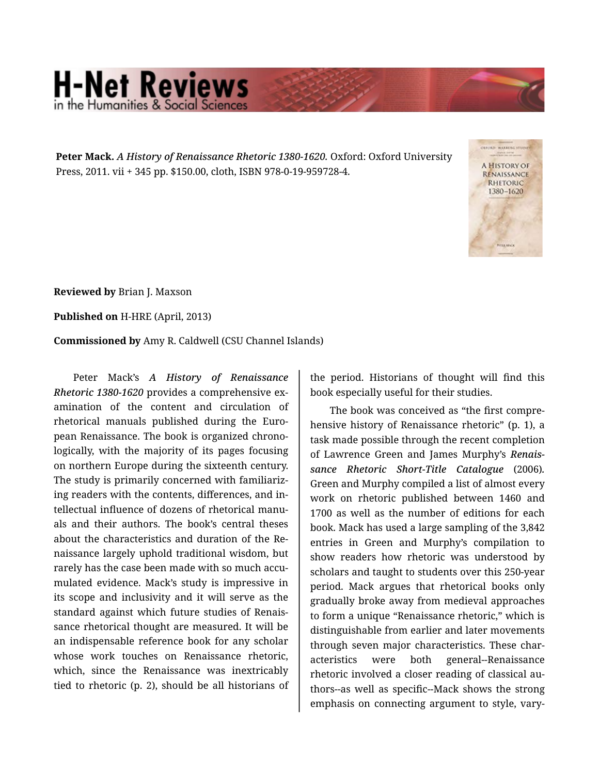## **H-Net Reviews** in the Humanities & Social Scier

**Peter Mack.** *A History of Renaissance Rhetoric 1380-1620.* Oxford: Oxford University Press, 2011. vii + 345 pp. \$150.00, cloth, ISBN 978-0-19-959728-4.



**Reviewed by** Brian J. Maxson

**Published on** H-HRE (April, 2013)

**Commissioned by** Amy R. Caldwell (CSU Channel Islands)

Peter Mack's *A History of Renaissance Rhetoric 1380-1620* provides a comprehensive ex‐ amination of the content and circulation of rhetorical manuals published during the Euro‐ pean Renaissance. The book is organized chrono‐ logically, with the majority of its pages focusing on northern Europe during the sixteenth century. The study is primarily concerned with familiariz‐ ing readers with the contents, differences, and in‐ tellectual influence of dozens of rhetorical manu‐ als and their authors. The book's central theses about the characteristics and duration of the Re‐ naissance largely uphold traditional wisdom, but rarely has the case been made with so much accumulated evidence. Mack's study is impressive in its scope and inclusivity and it will serve as the standard against which future studies of Renais‐ sance rhetorical thought are measured. It will be an indispensable reference book for any scholar whose work touches on Renaissance rhetoric, which, since the Renaissance was inextricably tied to rhetoric (p. 2), should be all historians of the period. Historians of thought will find this book especially useful for their studies.

The book was conceived as "the first compre‐ hensive history of Renaissance rhetoric" (p. 1), a task made possible through the recent completion of Lawrence Green and James Murphy's *Renais‐ sance Rhetoric Short-Title Catalogue* (2006)*.*  Green and Murphy compiled a list of almost every work on rhetoric published between 1460 and 1700 as well as the number of editions for each book. Mack has used a large sampling of the 3,842 entries in Green and Murphy's compilation to show readers how rhetoric was understood by scholars and taught to students over this 250-year period. Mack argues that rhetorical books only gradually broke away from medieval approaches to form a unique "Renaissance rhetoric," which is distinguishable from earlier and later movements through seven major characteristics. These char‐ acteristics were both general--Renaissance rhetoric involved a closer reading of classical au‐ thors--as well as specific--Mack shows the strong emphasis on connecting argument to style, vary‐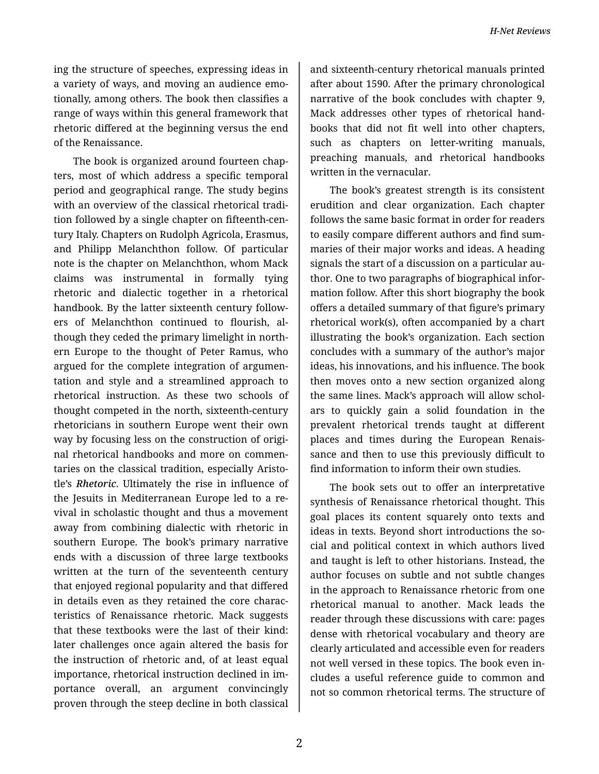*H-Net Reviews*

ing the structure of speeches, expressing ideas in a variety of ways, and moving an audience emo‐ tionally, among others. The book then classifies a range of ways within this general framework that rhetoric differed at the beginning versus the end of the Renaissance.

The book is organized around fourteen chap‐ ters, most of which address a specific temporal period and geographical range. The study begins with an overview of the classical rhetorical tradi‐ tion followed by a single chapter on fifteenth-cen‐ tury Italy. Chapters on Rudolph Agricola, Erasmus, and Philipp Melanchthon follow. Of particular note is the chapter on Melanchthon, whom Mack claims was instrumental in formally tying rhetoric and dialectic together in a rhetorical handbook. By the latter sixteenth century follow‐ ers of Melanchthon continued to flourish, al‐ though they ceded the primary limelight in north‐ ern Europe to the thought of Peter Ramus, who argued for the complete integration of argumen‐ tation and style and a streamlined approach to rhetorical instruction. As these two schools of thought competed in the north, sixteenth-century rhetoricians in southern Europe went their own way by focusing less on the construction of original rhetorical handbooks and more on commen‐ taries on the classical tradition, especially Aristo‐ tle's *Rhetoric*. Ultimately the rise in influence of the Jesuits in Mediterranean Europe led to a re‐ vival in scholastic thought and thus a movement away from combining dialectic with rhetoric in southern Europe. The book's primary narrative ends with a discussion of three large textbooks written at the turn of the seventeenth century that enjoyed regional popularity and that differed in details even as they retained the core charac‐ teristics of Renaissance rhetoric. Mack suggests that these textbooks were the last of their kind: later challenges once again altered the basis for the instruction of rhetoric and, of at least equal importance, rhetorical instruction declined in im‐ portance overall, an argument convincingly proven through the steep decline in both classical

and sixteenth-century rhetorical manuals printed after about 1590. After the primary chronological narrative of the book concludes with chapter 9, Mack addresses other types of rhetorical hand‐ books that did not fit well into other chapters, such as chapters on letter-writing manuals, preaching manuals, and rhetorical handbooks written in the vernacular.

The book's greatest strength is its consistent erudition and clear organization. Each chapter follows the same basic format in order for readers to easily compare different authors and find sum‐ maries of their major works and ideas. A heading signals the start of a discussion on a particular au‐ thor. One to two paragraphs of biographical infor‐ mation follow. After this short biography the book offers a detailed summary of that figure's primary rhetorical work(s), often accompanied by a chart illustrating the book's organization. Each section concludes with a summary of the author's major ideas, his innovations, and his influence. The book then moves onto a new section organized along the same lines. Mack's approach will allow schol‐ ars to quickly gain a solid foundation in the prevalent rhetorical trends taught at different places and times during the European Renais‐ sance and then to use this previously difficult to find information to inform their own studies.

The book sets out to offer an interpretative synthesis of Renaissance rhetorical thought. This goal places its content squarely onto texts and ideas in texts. Beyond short introductions the social and political context in which authors lived and taught is left to other historians. Instead, the author focuses on subtle and not subtle changes in the approach to Renaissance rhetoric from one rhetorical manual to another. Mack leads the reader through these discussions with care: pages dense with rhetorical vocabulary and theory are clearly articulated and accessible even for readers not well versed in these topics. The book even in‐ cludes a useful reference guide to common and not so common rhetorical terms. The structure of